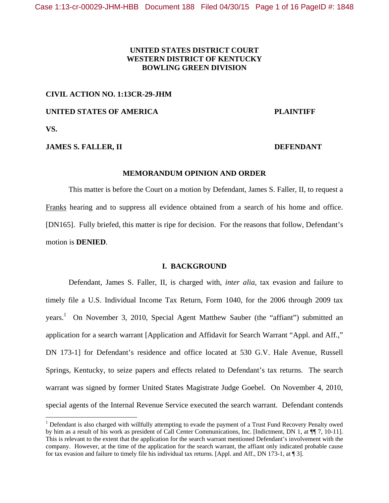# **UNITED STATES DISTRICT COURT WESTERN DISTRICT OF KENTUCKY BOWLING GREEN DIVISION**

#### **CIVIL ACTION NO. 1:13CR-29-JHM**

### **UNITED STATES OF AMERICA PLAINTIFF**

**VS.** 

### **JAMES S. FALLER, II** DEFENDANT

#### **MEMORANDUM OPINION AND ORDER**

This matter is before the Court on a motion by Defendant, James S. Faller, II, to request a Franks hearing and to suppress all evidence obtained from a search of his home and office. [DN165]. Fully briefed, this matter is ripe for decision. For the reasons that follow, Defendant's motion is **DENIED**.

# **I. BACKGROUND**

Defendant, James S. Faller, II, is charged with, *inter alia*, tax evasion and failure to timely file a U.S. Individual Income Tax Return, Form 1040, for the 2006 through 2009 tax years.<sup>1</sup> On November 3, 2010, Special Agent Matthew Sauber (the "affiant") submitted an application for a search warrant [Application and Affidavit for Search Warrant "Appl. and Aff.," DN 173-1] for Defendant's residence and office located at 530 G.V. Hale Avenue, Russell Springs, Kentucky, to seize papers and effects related to Defendant's tax returns. The search warrant was signed by former United States Magistrate Judge Goebel. On November 4, 2010, special agents of the Internal Revenue Service executed the search warrant. Defendant contends

<sup>&</sup>lt;sup>1</sup> Defendant is also charged with willfully attempting to evade the payment of a Trust Fund Recovery Penalty owed by him as a result of his work as president of Call Center Communications, Inc. [Indictment, DN 1, at ¶¶ 7, 10-11]. This is relevant to the extent that the application for the search warrant mentioned Defendant's involvement with the company. However, at the time of the application for the search warrant, the affiant only indicated probable cause for tax evasion and failure to timely file his individual tax returns. [Appl. and Aff., DN 173-1, at ¶ 3].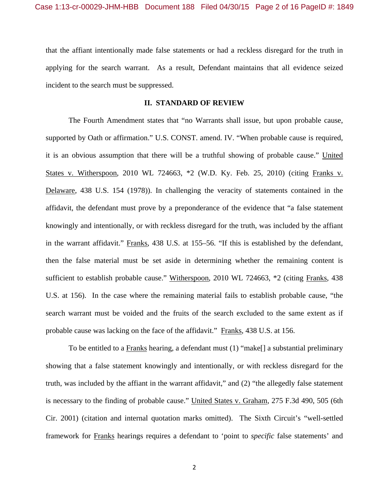that the affiant intentionally made false statements or had a reckless disregard for the truth in applying for the search warrant. As a result, Defendant maintains that all evidence seized incident to the search must be suppressed.

#### **II. STANDARD OF REVIEW**

The Fourth Amendment states that "no Warrants shall issue, but upon probable cause, supported by Oath or affirmation." U.S. CONST. amend. IV. "When probable cause is required, it is an obvious assumption that there will be a truthful showing of probable cause." United States v. Witherspoon, 2010 WL 724663, \*2 (W.D. Ky. Feb. 25, 2010) (citing Franks v. Delaware, 438 U.S. 154 (1978)). In challenging the veracity of statements contained in the affidavit, the defendant must prove by a preponderance of the evidence that "a false statement knowingly and intentionally, or with reckless disregard for the truth, was included by the affiant in the warrant affidavit." Franks, 438 U.S. at 155–56. "If this is established by the defendant, then the false material must be set aside in determining whether the remaining content is sufficient to establish probable cause." Witherspoon, 2010 WL 724663, \*2 (citing Franks, 438 U.S. at 156). In the case where the remaining material fails to establish probable cause, "the search warrant must be voided and the fruits of the search excluded to the same extent as if probable cause was lacking on the face of the affidavit." Franks, 438 U.S. at 156.

 To be entitled to a Franks hearing, a defendant must (1) "make[] a substantial preliminary showing that a false statement knowingly and intentionally, or with reckless disregard for the truth, was included by the affiant in the warrant affidavit," and (2) "the allegedly false statement is necessary to the finding of probable cause." United States v. Graham, 275 F.3d 490, 505 (6th Cir. 2001) (citation and internal quotation marks omitted). The Sixth Circuit's "well-settled framework for Franks hearings requires a defendant to 'point to *specific* false statements' and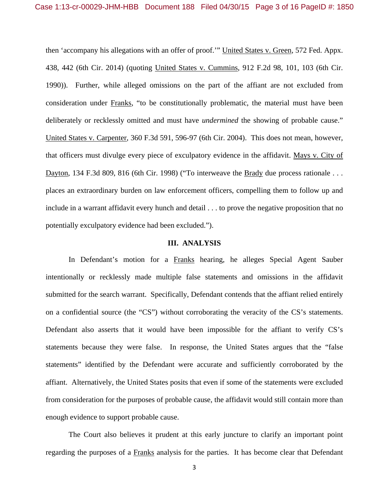then 'accompany his allegations with an offer of proof.'" United States v. Green, 572 Fed. Appx. 438, 442 (6th Cir. 2014) (quoting United States v. Cummins, 912 F.2d 98, 101, 103 (6th Cir. 1990)). Further, while alleged omissions on the part of the affiant are not excluded from consideration under Franks, "to be constitutionally problematic, the material must have been deliberately or recklessly omitted and must have *undermined* the showing of probable cause." United States v. Carpenter, 360 F.3d 591, 596-97 (6th Cir. 2004). This does not mean, however, that officers must divulge every piece of exculpatory evidence in the affidavit. Mays v. City of Dayton, 134 F.3d 809, 816 (6th Cir. 1998) ("To interweave the Brady due process rationale . . . places an extraordinary burden on law enforcement officers, compelling them to follow up and include in a warrant affidavit every hunch and detail . . . to prove the negative proposition that no potentially exculpatory evidence had been excluded.").

#### **III. ANALYSIS**

In Defendant's motion for a Franks hearing, he alleges Special Agent Sauber intentionally or recklessly made multiple false statements and omissions in the affidavit submitted for the search warrant. Specifically, Defendant contends that the affiant relied entirely on a confidential source (the "CS") without corroborating the veracity of the CS's statements. Defendant also asserts that it would have been impossible for the affiant to verify CS's statements because they were false. In response, the United States argues that the "false statements" identified by the Defendant were accurate and sufficiently corroborated by the affiant. Alternatively, the United States posits that even if some of the statements were excluded from consideration for the purposes of probable cause, the affidavit would still contain more than enough evidence to support probable cause.

The Court also believes it prudent at this early juncture to clarify an important point regarding the purposes of a Franks analysis for the parties. It has become clear that Defendant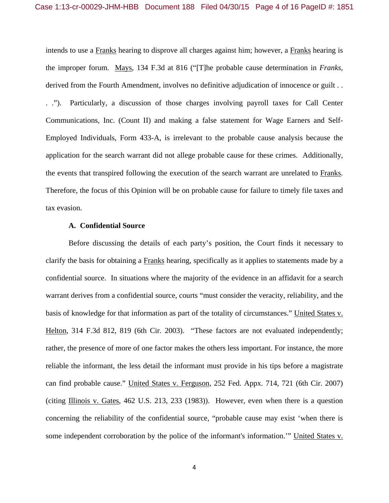intends to use a Franks hearing to disprove all charges against him; however, a Franks hearing is the improper forum. Mays, 134 F.3d at 816 ("[T]he probable cause determination in *Franks,* derived from the Fourth Amendment, involves no definitive adjudication of innocence or guilt . . . ."). Particularly, a discussion of those charges involving payroll taxes for Call Center Communications, Inc. (Count II) and making a false statement for Wage Earners and Self-Employed Individuals, Form 433-A, is irrelevant to the probable cause analysis because the application for the search warrant did not allege probable cause for these crimes. Additionally, the events that transpired following the execution of the search warrant are unrelated to Franks. Therefore, the focus of this Opinion will be on probable cause for failure to timely file taxes and tax evasion.

#### **A. Confidential Source**

 Before discussing the details of each party's position, the Court finds it necessary to clarify the basis for obtaining a Franks hearing, specifically as it applies to statements made by a confidential source. In situations where the majority of the evidence in an affidavit for a search warrant derives from a confidential source, courts "must consider the veracity, reliability, and the basis of knowledge for that information as part of the totality of circumstances." United States v. Helton, 314 F.3d 812, 819 (6th Cir. 2003). "These factors are not evaluated independently; rather, the presence of more of one factor makes the others less important. For instance, the more reliable the informant, the less detail the informant must provide in his tips before a magistrate can find probable cause." United States v. Ferguson, 252 Fed. Appx. 714, 721 (6th Cir. 2007) (citing Illinois v. Gates, 462 U.S. 213, 233 (1983)). However, even when there is a question concerning the reliability of the confidential source, "probable cause may exist 'when there is some independent corroboration by the police of the informant's information.'" United States v.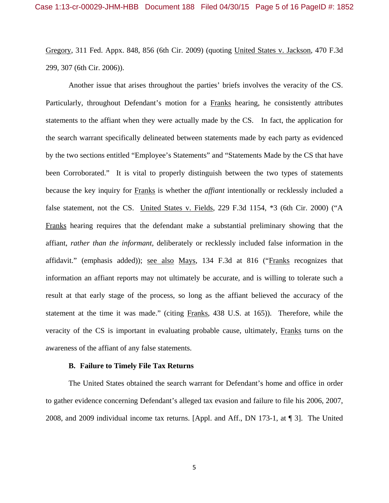Gregory, 311 Fed. Appx. 848, 856 (6th Cir. 2009) (quoting United States v. Jackson, 470 F.3d 299, 307 (6th Cir. 2006)).

 Another issue that arises throughout the parties' briefs involves the veracity of the CS. Particularly, throughout Defendant's motion for a Franks hearing, he consistently attributes statements to the affiant when they were actually made by the CS. In fact, the application for the search warrant specifically delineated between statements made by each party as evidenced by the two sections entitled "Employee's Statements" and "Statements Made by the CS that have been Corroborated." It is vital to properly distinguish between the two types of statements because the key inquiry for Franks is whether the *affiant* intentionally or recklessly included a false statement, not the CS. United States v. Fields, 229 F.3d 1154, \*3 (6th Cir. 2000) ("A Franks hearing requires that the defendant make a substantial preliminary showing that the affiant, *rather than the informant,* deliberately or recklessly included false information in the affidavit." (emphasis added)); see also Mays, 134 F.3d at 816 ("Franks recognizes that information an affiant reports may not ultimately be accurate, and is willing to tolerate such a result at that early stage of the process, so long as the affiant believed the accuracy of the statement at the time it was made." (citing Franks, 438 U.S. at 165)). Therefore, while the veracity of the CS is important in evaluating probable cause, ultimately, Franks turns on the awareness of the affiant of any false statements.

#### **B. Failure to Timely File Tax Returns**

The United States obtained the search warrant for Defendant's home and office in order to gather evidence concerning Defendant's alleged tax evasion and failure to file his 2006, 2007, 2008, and 2009 individual income tax returns. [Appl. and Aff., DN 173-1, at ¶ 3]. The United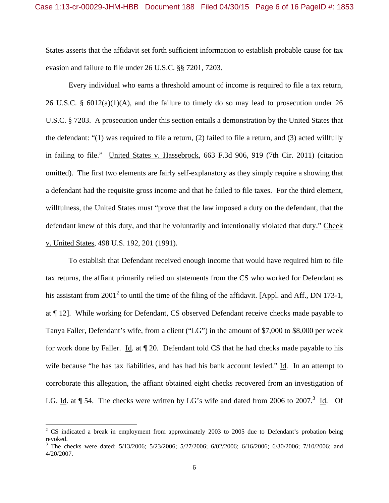States asserts that the affidavit set forth sufficient information to establish probable cause for tax evasion and failure to file under 26 U.S.C. §§ 7201, 7203.

Every individual who earns a threshold amount of income is required to file a tax return, 26 U.S.C. §  $6012(a)(1)(A)$ , and the failure to timely do so may lead to prosecution under 26 U.S.C. § 7203. A prosecution under this section entails a demonstration by the United States that the defendant: "(1) was required to file a return, (2) failed to file a return, and (3) acted willfully in failing to file." United States v. Hassebrock, 663 F.3d 906, 919 (7th Cir. 2011) (citation omitted). The first two elements are fairly self-explanatory as they simply require a showing that a defendant had the requisite gross income and that he failed to file taxes. For the third element, willfulness, the United States must "prove that the law imposed a duty on the defendant, that the defendant knew of this duty, and that he voluntarily and intentionally violated that duty." Cheek v. United States, 498 U.S. 192, 201 (1991).

To establish that Defendant received enough income that would have required him to file tax returns, the affiant primarily relied on statements from the CS who worked for Defendant as his assistant from 2001<sup>2</sup> to until the time of the filing of the affidavit. [Appl. and Aff., DN 173-1, at ¶ 12]. While working for Defendant, CS observed Defendant receive checks made payable to Tanya Faller, Defendant's wife, from a client ("LG") in the amount of \$7,000 to \$8,000 per week for work done by Faller. Id. at ¶ 20. Defendant told CS that he had checks made payable to his wife because "he has tax liabilities, and has had his bank account levied." Id. In an attempt to corroborate this allegation, the affiant obtained eight checks recovered from an investigation of LG. Id. at  $\P$  54. The checks were written by LG's wife and dated from 2006 to 2007.<sup>3</sup> Id. Of

<sup>&</sup>lt;sup>2</sup> CS indicated a break in employment from approximately 2003 to 2005 due to Defendant's probation being revoked.

<sup>&</sup>lt;sup>3</sup> The checks were dated: 5/13/2006; 5/23/2006; 5/27/2006; 6/02/2006; 6/16/2006; 6/30/2006; 7/10/2006; and 4/20/2007.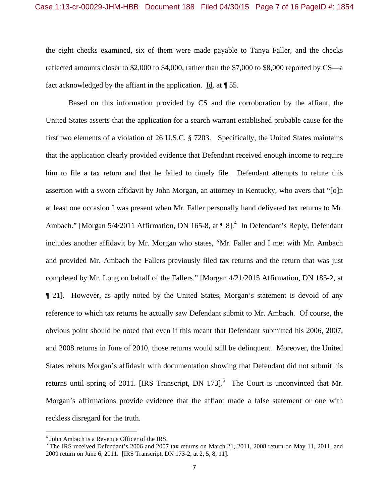the eight checks examined, six of them were made payable to Tanya Faller, and the checks reflected amounts closer to \$2,000 to \$4,000, rather than the \$7,000 to \$8,000 reported by CS—a fact acknowledged by the affiant in the application. Id. at  $\P$  55.

Based on this information provided by CS and the corroboration by the affiant, the United States asserts that the application for a search warrant established probable cause for the first two elements of a violation of 26 U.S.C. § 7203. Specifically, the United States maintains that the application clearly provided evidence that Defendant received enough income to require him to file a tax return and that he failed to timely file. Defendant attempts to refute this assertion with a sworn affidavit by John Morgan, an attorney in Kentucky, who avers that "[o]n at least one occasion I was present when Mr. Faller personally hand delivered tax returns to Mr. Ambach." [Morgan  $5/4/2011$  Affirmation, DN 165-8, at  $\P 8$ ].<sup>4</sup> In Defendant's Reply, Defendant includes another affidavit by Mr. Morgan who states, "Mr. Faller and I met with Mr. Ambach and provided Mr. Ambach the Fallers previously filed tax returns and the return that was just completed by Mr. Long on behalf of the Fallers." [Morgan 4/21/2015 Affirmation, DN 185-2, at ¶ 21]. However, as aptly noted by the United States, Morgan's statement is devoid of any reference to which tax returns he actually saw Defendant submit to Mr. Ambach. Of course, the obvious point should be noted that even if this meant that Defendant submitted his 2006, 2007, and 2008 returns in June of 2010, those returns would still be delinquent. Moreover, the United States rebuts Morgan's affidavit with documentation showing that Defendant did not submit his returns until spring of 2011. [IRS Transcript, DN 173].<sup>5</sup> The Court is unconvinced that Mr. Morgan's affirmations provide evidence that the affiant made a false statement or one with reckless disregard for the truth.

<sup>4</sup> John Ambach is a Revenue Officer of the IRS.

<sup>&</sup>lt;sup>5</sup> The IRS received Defendant's 2006 and 2007 tax returns on March 21, 2011, 2008 return on May 11, 2011, and 2009 return on June 6, 2011. [IRS Transcript, DN 173-2, at 2, 5, 8, 11].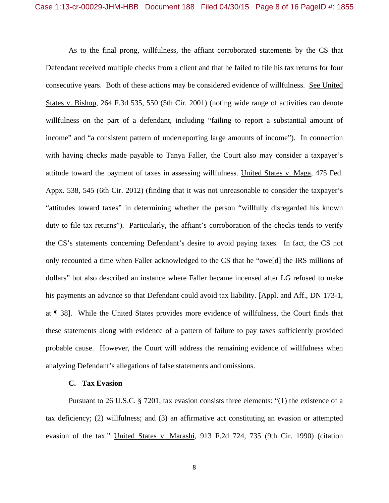As to the final prong, willfulness, the affiant corroborated statements by the CS that Defendant received multiple checks from a client and that he failed to file his tax returns for four consecutive years. Both of these actions may be considered evidence of willfulness. See United States v. Bishop, 264 F.3d 535, 550 (5th Cir. 2001) (noting wide range of activities can denote willfulness on the part of a defendant, including "failing to report a substantial amount of income" and "a consistent pattern of underreporting large amounts of income"). In connection with having checks made payable to Tanya Faller, the Court also may consider a taxpayer's attitude toward the payment of taxes in assessing willfulness. United States v. Maga, 475 Fed. Appx. 538, 545 (6th Cir. 2012) (finding that it was not unreasonable to consider the taxpayer's "attitudes toward taxes" in determining whether the person "willfully disregarded his known duty to file tax returns"). Particularly, the affiant's corroboration of the checks tends to verify the CS's statements concerning Defendant's desire to avoid paying taxes. In fact, the CS not only recounted a time when Faller acknowledged to the CS that he "owe[d] the IRS millions of dollars" but also described an instance where Faller became incensed after LG refused to make his payments an advance so that Defendant could avoid tax liability. [Appl. and Aff., DN 173-1, at ¶ 38]. While the United States provides more evidence of willfulness, the Court finds that these statements along with evidence of a pattern of failure to pay taxes sufficiently provided probable cause. However, the Court will address the remaining evidence of willfulness when analyzing Defendant's allegations of false statements and omissions.

#### **C. Tax Evasion**

Pursuant to 26 U.S.C. § 7201, tax evasion consists three elements: "(1) the existence of a tax deficiency; (2) willfulness; and (3) an affirmative act constituting an evasion or attempted evasion of the tax." United States v. Marashi, 913 F.2d 724, 735 (9th Cir. 1990) (citation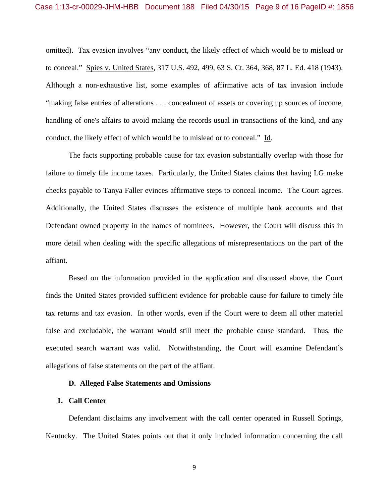omitted). Tax evasion involves "any conduct, the likely effect of which would be to mislead or to conceal." Spies v. United States, 317 U.S. 492, 499, 63 S. Ct. 364, 368, 87 L. Ed. 418 (1943). Although a non-exhaustive list, some examples of affirmative acts of tax invasion include "making false entries of alterations . . . concealment of assets or covering up sources of income, handling of one's affairs to avoid making the records usual in transactions of the kind, and any conduct, the likely effect of which would be to mislead or to conceal." Id.

The facts supporting probable cause for tax evasion substantially overlap with those for failure to timely file income taxes. Particularly, the United States claims that having LG make checks payable to Tanya Faller evinces affirmative steps to conceal income. The Court agrees. Additionally, the United States discusses the existence of multiple bank accounts and that Defendant owned property in the names of nominees. However, the Court will discuss this in more detail when dealing with the specific allegations of misrepresentations on the part of the affiant.

Based on the information provided in the application and discussed above, the Court finds the United States provided sufficient evidence for probable cause for failure to timely file tax returns and tax evasion. In other words, even if the Court were to deem all other material false and excludable, the warrant would still meet the probable cause standard. Thus, the executed search warrant was valid. Notwithstanding, the Court will examine Defendant's allegations of false statements on the part of the affiant.

# **D. Alleged False Statements and Omissions**

#### **1. Call Center**

 Defendant disclaims any involvement with the call center operated in Russell Springs, Kentucky. The United States points out that it only included information concerning the call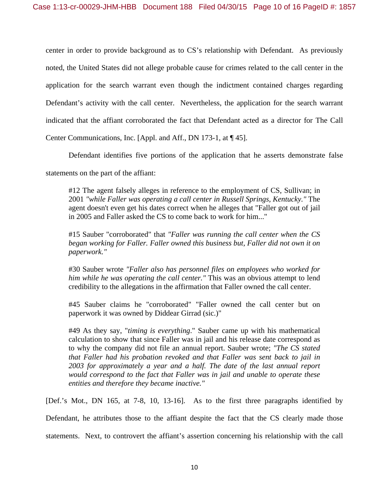center in order to provide background as to CS's relationship with Defendant. As previously noted, the United States did not allege probable cause for crimes related to the call center in the application for the search warrant even though the indictment contained charges regarding Defendant's activity with the call center. Nevertheless, the application for the search warrant indicated that the affiant corroborated the fact that Defendant acted as a director for The Call

Center Communications, Inc. [Appl. and Aff., DN 173-1, at ¶ 45].

Defendant identifies five portions of the application that he asserts demonstrate false

statements on the part of the affiant:

#12 The agent falsely alleges in reference to the employment of CS, Sullivan; in 2001 *"while Faller was operating a call center in Russell Springs, Kentucky."* The agent doesn't even get his dates correct when he alleges that "Faller got out of jail in 2005 and Faller asked the CS to come back to work for him..."

#15 Sauber "corroborated" that *"Faller was running the call center when the CS began working for Faller. Faller owned this business but, Faller did not own it on paperwork."* 

#30 Sauber wrote *"Faller also has personnel files on employees who worked for him while he was operating the call center."* This was an obvious attempt to lend credibility to the allegations in the affirmation that Faller owned the call center.

#45 Sauber claims he "corroborated" "Faller owned the call center but on paperwork it was owned by Diddear Girrad (sic.)"

#49 As they say, "*timing is everything*." Sauber came up with his mathematical calculation to show that since Faller was in jail and his release date correspond as to why the company did not file an annual report. Sauber wrote; *"The CS stated that Faller had his probation revoked and that Faller was sent back to jail in 2003 for approximately a year and a half. The date of the last annual report would correspond to the fact that Faller was in jail and unable to operate these entities and therefore they became inactive."* 

[Def.'s Mot., DN 165, at 7-8, 10, 13-16]. As to the first three paragraphs identified by

Defendant, he attributes those to the affiant despite the fact that the CS clearly made those

statements. Next, to controvert the affiant's assertion concerning his relationship with the call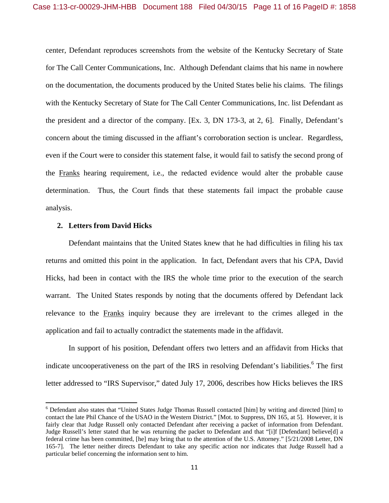center, Defendant reproduces screenshots from the website of the Kentucky Secretary of State for The Call Center Communications, Inc. Although Defendant claims that his name in nowhere on the documentation, the documents produced by the United States belie his claims. The filings with the Kentucky Secretary of State for The Call Center Communications, Inc. list Defendant as the president and a director of the company. [Ex. 3, DN 173-3, at 2, 6]. Finally, Defendant's concern about the timing discussed in the affiant's corroboration section is unclear. Regardless, even if the Court were to consider this statement false, it would fail to satisfy the second prong of the Franks hearing requirement, i.e., the redacted evidence would alter the probable cause determination. Thus, the Court finds that these statements fail impact the probable cause analysis.

#### **2. Letters from David Hicks**

Defendant maintains that the United States knew that he had difficulties in filing his tax returns and omitted this point in the application. In fact, Defendant avers that his CPA, David Hicks, had been in contact with the IRS the whole time prior to the execution of the search warrant. The United States responds by noting that the documents offered by Defendant lack relevance to the Franks inquiry because they are irrelevant to the crimes alleged in the application and fail to actually contradict the statements made in the affidavit.

In support of his position, Defendant offers two letters and an affidavit from Hicks that indicate uncooperativeness on the part of the IRS in resolving Defendant's liabilities.<sup>6</sup> The first letter addressed to "IRS Supervisor," dated July 17, 2006, describes how Hicks believes the IRS

<sup>&</sup>lt;sup>6</sup> Defendant also states that "United States Judge Thomas Russell contacted [him] by writing and directed [him] to contact the late Phil Chance of the USAO in the Western District." [Mot. to Suppress, DN 165, at 5]. However, it is fairly clear that Judge Russell only contacted Defendant after receiving a packet of information from Defendant. Judge Russell's letter stated that he was returning the packet to Defendant and that "[i]f [Defendant] believe[d] a federal crime has been committed, [he] may bring that to the attention of the U.S. Attorney." [5/21/2008 Letter, DN 165-7]. The letter neither directs Defendant to take any specific action nor indicates that Judge Russell had a particular belief concerning the information sent to him.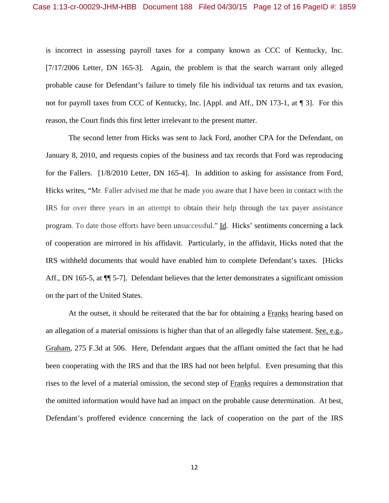is incorrect in assessing payroll taxes for a company known as CCC of Kentucky, Inc. [7/17/2006 Letter, DN 165-3]. Again, the problem is that the search warrant only alleged probable cause for Defendant's failure to timely file his individual tax returns and tax evasion, not for payroll taxes from CCC of Kentucky, Inc. [Appl. and Aff., DN 173-1, at ¶ 3]. For this reason, the Court finds this first letter irrelevant to the present matter.

The second letter from Hicks was sent to Jack Ford, another CPA for the Defendant, on January 8, 2010, and requests copies of the business and tax records that Ford was reproducing for the Fallers. [1/8/2010 Letter, DN 165-4]. In addition to asking for assistance from Ford, Hicks writes, "Mr. Faller advised me that he made you aware that I have been in contact with the IRS for over three years in an attempt to obtain their help through the tax payer assistance program. To date those efforts have been unsuccessful." Id. Hicks' sentiments concerning a lack of cooperation are mirrored in his affidavit. Particularly, in the affidavit, Hicks noted that the IRS withheld documents that would have enabled him to complete Defendant's taxes. [Hicks Aff., DN 165-5, at  $\P$  5-7]. Defendant believes that the letter demonstrates a significant omission on the part of the United States.

At the outset, it should be reiterated that the bar for obtaining a Franks hearing based on an allegation of a material omissions is higher than that of an allegedly false statement. See, e.g., Graham, 275 F.3d at 506. Here, Defendant argues that the affiant omitted the fact that he had been cooperating with the IRS and that the IRS had not been helpful. Even presuming that this rises to the level of a material omission, the second step of Franks requires a demonstration that the omitted information would have had an impact on the probable cause determination. At best, Defendant's proffered evidence concerning the lack of cooperation on the part of the IRS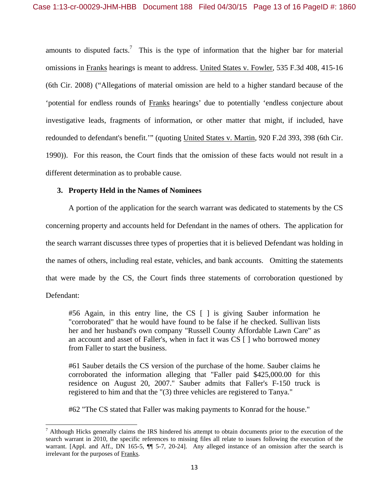amounts to disputed facts.<sup>7</sup> This is the type of information that the higher bar for material omissions in Franks hearings is meant to address. United States v. Fowler, 535 F.3d 408, 415-16 (6th Cir. 2008) ("Allegations of material omission are held to a higher standard because of the 'potential for endless rounds of Franks hearings' due to potentially 'endless conjecture about investigative leads, fragments of information, or other matter that might, if included, have redounded to defendant's benefit.'" (quoting United States v. Martin, 920 F.2d 393, 398 (6th Cir. 1990)). For this reason, the Court finds that the omission of these facts would not result in a different determination as to probable cause.

# **3. Property Held in the Names of Nominees**

A portion of the application for the search warrant was dedicated to statements by the CS concerning property and accounts held for Defendant in the names of others. The application for the search warrant discusses three types of properties that it is believed Defendant was holding in the names of others, including real estate, vehicles, and bank accounts. Omitting the statements that were made by the CS, the Court finds three statements of corroboration questioned by Defendant:

#56 Again, in this entry line, the CS [ ] is giving Sauber information he "corroborated" that he would have found to be false if he checked. Sullivan lists her and her husband's own company "Russell County Affordable Lawn Care" as an account and asset of Faller's, when in fact it was CS [ ] who borrowed money from Faller to start the business.

#61 Sauber details the CS version of the purchase of the home. Sauber claims he corroborated the information alleging that "Faller paid \$425,000.00 for this residence on August 20, 2007." Sauber admits that Faller's F-150 truck is registered to him and that the "(3) three vehicles are registered to Tanya."

#62 "The CS stated that Faller was making payments to Konrad for the house."

 $<sup>7</sup>$  Although Hicks generally claims the IRS hindered his attempt to obtain documents prior to the execution of the</sup> search warrant in 2010, the specific references to missing files all relate to issues following the execution of the warrant. [Appl. and Aff., DN 165-5,  $\P\P$  5-7, 20-24]. Any alleged instance of an omission after the search is irrelevant for the purposes of Franks.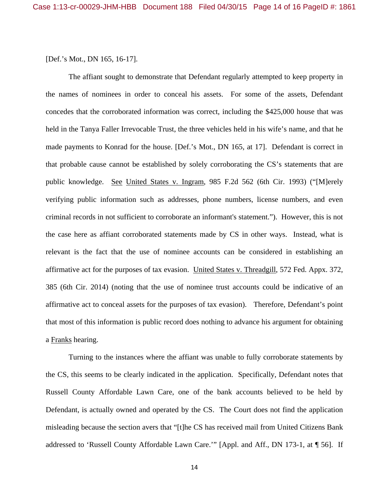### [Def.'s Mot., DN 165, 16-17].

The affiant sought to demonstrate that Defendant regularly attempted to keep property in the names of nominees in order to conceal his assets. For some of the assets, Defendant concedes that the corroborated information was correct, including the \$425,000 house that was held in the Tanya Faller Irrevocable Trust, the three vehicles held in his wife's name, and that he made payments to Konrad for the house. [Def.'s Mot., DN 165, at 17]. Defendant is correct in that probable cause cannot be established by solely corroborating the CS's statements that are public knowledge. See United States v. Ingram, 985 F.2d 562 (6th Cir. 1993) ("[M]erely verifying public information such as addresses, phone numbers, license numbers, and even criminal records in not sufficient to corroborate an informant's statement."). However, this is not the case here as affiant corroborated statements made by CS in other ways. Instead, what is relevant is the fact that the use of nominee accounts can be considered in establishing an affirmative act for the purposes of tax evasion. United States v. Threadgill, 572 Fed. Appx. 372, 385 (6th Cir. 2014) (noting that the use of nominee trust accounts could be indicative of an affirmative act to conceal assets for the purposes of tax evasion). Therefore, Defendant's point that most of this information is public record does nothing to advance his argument for obtaining a Franks hearing.

Turning to the instances where the affiant was unable to fully corroborate statements by the CS, this seems to be clearly indicated in the application. Specifically, Defendant notes that Russell County Affordable Lawn Care, one of the bank accounts believed to be held by Defendant, is actually owned and operated by the CS. The Court does not find the application misleading because the section avers that "[t]he CS has received mail from United Citizens Bank addressed to 'Russell County Affordable Lawn Care.'" [Appl. and Aff., DN 173-1, at ¶ 56]. If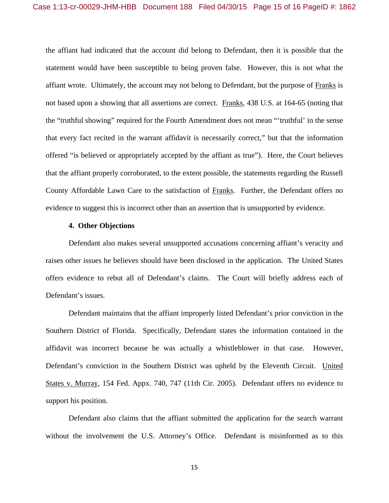the affiant had indicated that the account did belong to Defendant, then it is possible that the statement would have been susceptible to being proven false. However, this is not what the affiant wrote. Ultimately, the account may not belong to Defendant, but the purpose of Franks is not based upon a showing that all assertions are correct. Franks, 438 U.S. at 164-65 (noting that the "truthful showing" required for the Fourth Amendment does not mean "'truthful' in the sense that every fact recited in the warrant affidavit is necessarily correct," but that the information offered "is believed or appropriately accepted by the affiant as true"). Here, the Court believes that the affiant properly corroborated, to the extent possible, the statements regarding the Russell County Affordable Lawn Care to the satisfaction of Franks. Further, the Defendant offers no evidence to suggest this is incorrect other than an assertion that is unsupported by evidence.

#### **4. Other Objections**

Defendant also makes several unsupported accusations concerning affiant's veracity and raises other issues he believes should have been disclosed in the application. The United States offers evidence to rebut all of Defendant's claims. The Court will briefly address each of Defendant's issues.

Defendant maintains that the affiant improperly listed Defendant's prior conviction in the Southern District of Florida. Specifically, Defendant states the information contained in the affidavit was incorrect because he was actually a whistleblower in that case. However, Defendant's conviction in the Southern District was upheld by the Eleventh Circuit. United States v. Murray, 154 Fed. Appx. 740, 747 (11th Cir. 2005). Defendant offers no evidence to support his position.

Defendant also claims that the affiant submitted the application for the search warrant without the involvement the U.S. Attorney's Office. Defendant is misinformed as to this

15